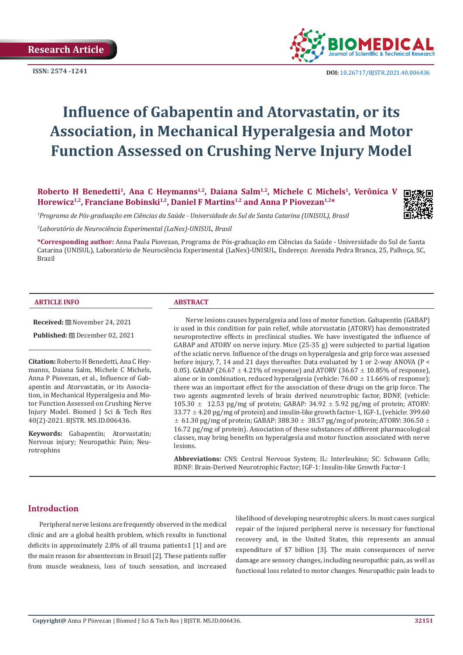

**ISSN:** 2574 -1241 **DOI:** [10.26717/BJSTR.2021.40.006436](https://dx.doi.org/10.26717/BJSTR.2021.40.006436)

# **Influence of Gabapentin and Atorvastatin, or its Association, in Mechanical Hyperalgesia and Motor Function Assessed on Crushing Nerve Injury Model**

Roberto H Benedetti<sup>1</sup>, Ana C Heymanns<sup>1,2</sup>, Daiana Salm<sup>1,2</sup>, Michele C Michels<sup>1</sup>, Verônica V **Horewicz1,2, Franciane Bobinski1,2, Daniel F Martins1,2 and Anna P Piovezan1,2\***



*1 Programa de Pós-graduação em Ciências da Saúde - Universidade do Sul de Santa Catarina (UNISUL), Brasil*

*2 Laboratório de Neurociência Experimental (LaNex)-UNISUL, Brasil*

**\*Corresponding author:** Anna Paula Piovezan, Programa de Pós-graduação em Ciências da Saúde - Universidade do Sul de Santa Catarina (UNISUL), Laboratório de Neurociência Experimental (LaNex)-UNISUL, Endereço: Avenida Pedra Branca, 25, Palhoça, SC, Brazil

#### **ARTICLE INFO ABSTRACT**

**Received:** November 24, 2021

**Published:** December 02, 2021

**Citation:** Roberto H Benedetti, Ana C Heymanns, Daiana Salm, Michele C Michels, Anna P Piovezan, et al., Influence of Gabapentin and Atorvastatin, or its Association, in Mechanical Hyperalgesia and Motor Function Assessed on Crushing Nerve Injury Model. Biomed J Sci & Tech Res 40(2)-2021. BJSTR. MS.ID.006436.

**Keywords:** Gabapentin; Atorvastatin; Nervous injury; Neuropathic Pain; Neurotrophins

Nerve lesions causes hyperalgesia and loss of motor function. Gabapentin (GABAP) is used in this condition for pain relief, while atorvastatin (ATORV) has demonstrated neuroprotective effects in preclinical studies. We have investigated the influence of GABAP and ATORV on nerve injury. Mice (25-35 g) were subjected to partial ligation of the sciatic nerve. Influence of the drugs on hyperalgesia and grip force was assessed before injury, 7, 14 and 21 days thereafter. Data evaluated by 1 or 2-way ANOVA (P < 0.05). GABAP (26.67  $\pm$  4.21% of response) and ATORV (36.67  $\pm$  10.85% of response), alone or in combination, reduced hyperalgesia (vehicle:  $76.00 \pm 11.66\%$  of response); there was an important effect for the association of these drugs on the grip force. The two agents augmented levels of brain derived neurotrophic factor, BDNF, (vehicle: 105.30  $\pm$  12.53 pg/mg of protein; GABAP: 34.92  $\pm$  5.92 pg/mg of protein; ATORV:  $33.77 \pm 4.20$  pg/mg of protein) and insulin-like growth factor-1, IGF-1, (vehicle: 399.60  $\pm$  61.30 pg/mg of protein; GABAP: 388.30  $\pm$  38.57 pg/mg of protein; ATORV: 306.50  $\pm$ 16.72 pg/mg of protein). Association of these substances of different pharmacological classes, may bring benefits on hyperalgesia and motor function associated with nerve lesions.

**Abbreviations:** CNS: Central Nervous System; IL: Interleukins; SC: Schwann Cells; BDNF: Brain-Derived Neurotrophic Factor; IGF-1: Insulin-like Growth Factor-1

# **Introduction**

Peripheral nerve lesions are frequently observed in the medical clinic and are a global health problem, which results in functional deficits in approximately 2.8% of all trauma patients1 [1] and are the main reason for absenteeism in Brazil [2]. These patients suffer from muscle weakness, loss of touch sensation, and increased

likelihood of developing neurotrophic ulcers. In most cases surgical repair of the injured peripheral nerve is necessary for functional recovery and, in the United States, this represents an annual expenditure of \$7 billion [3]. The main consequences of nerve damage are sensory changes, including neuropathic pain, as well as functional loss related to motor changes. Neuropathic pain leads to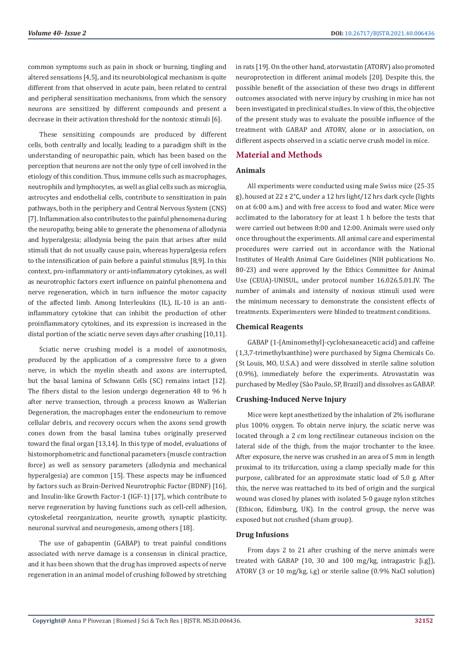common symptoms such as pain in shock or burning, tingling and altered sensations [4,5], and its neurobiological mechanism is quite different from that observed in acute pain, been related to central and peripheral sensitization mechanisms, from which the sensory neurons are sensitized by different compounds and present a decrease in their activation threshold for the nontoxic stimuli [6].

These sensitizing compounds are produced by different cells, both centrally and locally, leading to a paradigm shift in the understanding of neuropathic pain, which has been based on the perception that neurons are not the only type of cell involved in the etiology of this condition. Thus, immune cells such as macrophages, neutrophils and lymphocytes, as well as glial cells such as microglia, astrocytes and endothelial cells, contribute to sensitization in pain pathways, both in the periphery and Central Nervous System (CNS) [7]. Inflammation also contributes to the painful phenomena during the neuropathy, being able to generate the phenomena of allodynia and hyperalgesia; allodynia being the pain that arises after mild stimuli that do not usually cause pain, whereas hyperalgesia refers to the intensification of pain before a painful stimulus [8,9]. In this context, pro-inflammatory or anti-inflammatory cytokines, as well as neurotrophic factors exert influence on painful phenomena and nerve regeneration, which in turn influence the motor capacity of the affected limb. Among Interleukins (IL), IL-10 is an antiinflammatory cytokine that can inhibit the production of other proinflammatory cytokines, and its expression is increased in the distal portion of the sciatic nerve seven days after crushing [10,11].

Sciatic nerve crushing model is a model of axonotmosis, produced by the application of a compressive force to a given nerve, in which the myelin sheath and axons are interrupted, but the basal lamina of Schwann Cells (SC) remains intact [12]. The fibers distal to the lesion undergo degeneration 48 to 96 h after nerve transection, through a process known as Wallerian Degeneration, the macrophages enter the endoneurium to remove cellular debris, and recovery occurs when the axons send growth cones down from the basal lamina tubes originally preserved toward the final organ [13,14]. In this type of model, evaluations of histomorphometric and functional parameters (muscle contraction force) as well as sensory parameters (allodynia and mechanical hyperalgesia) are common [15]. These aspects may be influenced by factors such as Brain-Derived Neurotrophic Factor (BDNF) [16], and Insulin-like Growth Factor-1 (IGF-1) [17], which contribute to nerve regeneration by having functions such as cell-cell adhesion, cytoskeletal reorganization, neurite growth, synaptic plasticity, neuronal survival and neurogenesis, among others [18].

The use of gabapentin (GABAP) to treat painful conditions associated with nerve damage is a consensus in clinical practice, and it has been shown that the drug has improved aspects of nerve regeneration in an animal model of crushing followed by stretching in rats [19]. On the other hand, atorvastatin (ATORV) also promoted neuroprotection in different animal models [20]. Despite this, the possible benefit of the association of these two drugs in different outcomes associated with nerve injury by crushing in mice has not been investigated in preclinical studies. In view of this, the objective of the present study was to evaluate the possible influence of the treatment with GABAP and ATORV, alone or in association, on different aspects observed in a sciatic nerve crush model in mice.

# **Material and Methods**

# **Animals**

All experiments were conducted using male Swiss mice (25-35 g), housed at 22 ± 2°C, under a 12 hrs light/12 hrs dark cycle (lights on at 6:00 a.m.) and with free access to food and water. Mice were acclimated to the laboratory for at least 1 h before the tests that were carried out between 8:00 and 12:00. Animals were used only once throughout the experiments. All animal care and experimental procedures were carried out in accordance with the National Institutes of Health Animal Care Guidelines (NIH publications No. 80-23) and were approved by the Ethics Committee for Animal Use (CEUA)-UNISUL, under protocol number 16.026.5.01.IV. The number of animals and intensity of noxious stimuli used were the minimum necessary to demonstrate the consistent effects of treatments. Experimenters were blinded to treatment conditions.

#### **Chemical Reagents**

GABAP (1-[Aminomethyl]-cyclohexaneacetic acid) and caffeine (1,3,7-trimethylxanthine) were purchased by Sigma Chemicals Co. (St Louis, MO, U.S.A.) and were dissolved in sterile saline solution (0.9%), immediately before the experiments. Atrovastatin was purchased by Medley (São Paulo, SP, Brazil) and dissolves as GABAP.

#### **Crushing-Induced Nerve Injury**

Mice were kept anesthetized by the inhalation of 2% isoflurane plus 100% oxygen. To obtain nerve injury, the sciatic nerve was located through a 2 cm long rectilinear cutaneous incision on the lateral side of the thigh, from the major trochanter to the knee. After exposure, the nerve was crushed in an area of 5 mm in length proximal to its trifurcation, using a clamp specially made for this purpose, calibrated for an approximate static load of 5.0 g. After this, the nerve was reattached to its bed of origin and the surgical wound was closed by planes with isolated 5-0 gauge nylon stitches (Ethicon, Edimburg, UK). In the control group, the nerve was exposed but not crushed (sham group).

# **Drug Infusions**

From days 2 to 21 after crushing of the nerve animals were treated with GABAP (10, 30 and 100 mg/kg, intragastric [i.g]), ATORV (3 or 10 mg/kg, i.g) or sterile saline (0.9% NaCl solution)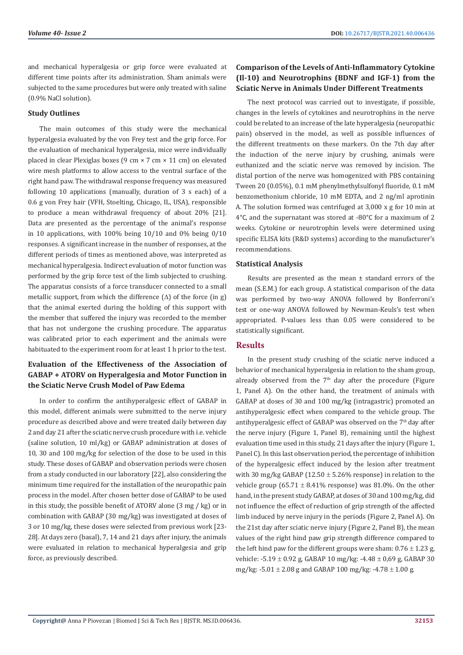and mechanical hyperalgesia or grip force were evaluated at different time points after its administration. Sham animals were subjected to the same procedures but were only treated with saline (0.9% NaCl solution).

#### **Study Outlines**

The main outcomes of this study were the mechanical hyperalgesia evaluated by the von Frey test and the grip force. For the evaluation of mechanical hyperalgesia, mice were individually placed in clear Plexiglas boxes (9 cm × 7 cm × 11 cm) on elevated wire mesh platforms to allow access to the ventral surface of the right hand paw. The withdrawal response frequency was measured following 10 applications (manually, duration of 3 s each) of a 0.6 g von Frey hair (VFH, Stoelting, Chicago, IL, USA), responsible to produce a mean withdrawal frequency of about 20% [21]. Data are presented as the percentage of the animal's response in 10 applications, with 100% being 10/10 and 0% being 0/10 responses. A significant increase in the number of responses, at the different periods of times as mentioned above, was interpreted as mechanical hyperalgesia. Indirect evaluation of motor function was performed by the grip force test of the limb subjected to crushing. The apparatus consists of a force transducer connected to a small metallic support, from which the difference  $(\Delta)$  of the force (in g) that the animal exerted during the holding of this support with the member that suffered the injury was recorded to the member that has not undergone the crushing procedure. The apparatus was calibrated prior to each experiment and the animals were habituated to the experiment room for at least 1 h prior to the test.

# **Evaluation of the Effectiveness of the Association of GABAP + ATORV on Hyperalgesia and Motor Function in the Sciatic Nerve Crush Model of Paw Edema**

In order to confirm the antihyperalgesic effect of GABAP in this model, different animals were submitted to the nerve injury procedure as described above and were treated daily between day 2 and day 21 after the sciatic nerve crush procedure with i.e. vehicle (saline solution, 10 ml/kg) or GABAP administration at doses of 10, 30 and 100 mg/kg for selection of the dose to be used in this study. These doses of GABAP and observation periods were chosen from a study conducted in our laboratory [22], also considering the minimum time required for the installation of the neuropathic pain process in the model. After chosen better dose of GABAP to be used in this study, the possible benefit of ATORV alone (3 mg / kg) or in combination with GABAP (30 mg/kg) was investigated at doses of 3 or 10 mg/kg, these doses were selected from previous work [23- 28]. At days zero (basal), 7, 14 and 21 days after injury, the animals were evaluated in relation to mechanical hyperalgesia and grip force, as previously described.

# **Comparison of the Levels of Anti-Inflammatory Cytokine (Il-10) and Neurotrophins (BDNF and IGF-1) from the Sciatic Nerve in Animals Under Different Treatments**

The next protocol was carried out to investigate, if possible, changes in the levels of cytokines and neurotrophins in the nerve could be related to an increase of the late hyperalgesia (neuropathic pain) observed in the model, as well as possible influences of the different treatments on these markers. On the 7th day after the induction of the nerve injury by crushing, animals were euthanized and the sciatic nerve was removed by incision. The distal portion of the nerve was homogenized with PBS containing Tween 20 (0.05%), 0.1 mM phenylmethylsulfonyl fluoride, 0.1 mM benzomethonium chloride, 10 mM EDTA, and 2 ng/ml aprotinin A. The solution formed was centrifuged at 3,000 x g for 10 min at 4°C, and the supernatant was stored at -80°C for a maximum of 2 weeks. Cytokine or neurotrophin levels were determined using specific ELISA kits (R&D systems) according to the manufacturer's recommendations.

# **Statistical Analysis**

Results are presented as the mean ± standard errors of the mean (S.E.M.) for each group. A statistical comparison of the data was performed by two-way ANOVA followed by Bonferroni's test or one-way ANOVA followed by Newman-Keuls's test when appropriated. P-values less than 0.05 were considered to be statistically significant.

# **Results**

In the present study crushing of the sciatic nerve induced a behavior of mechanical hyperalgesia in relation to the sham group, already observed from the  $7<sup>th</sup>$  day after the procedure (Figure 1, Panel A). On the other hand, the treatment of animals with GABAP at doses of 30 and 100 mg/kg (intragastric) promoted an antihyperalgesic effect when compared to the vehicle group. The antihyperalgesic effect of GABAP was observed on the 7th day after the nerve injury (Figure 1, Panel B), remaining until the highest evaluation time used in this study, 21 days after the injury (Figure 1, Panel C). In this last observation period, the percentage of inhibition of the hyperalgesic effect induced by the lesion after treatment with 30 mg/kg GABAP (12.50  $\pm$  5.26% response) in relation to the vehicle group (65.71  $\pm$  8.41% response) was 81.0%. On the other hand, in the present study GABAP, at doses of 30 and 100 mg/kg, did not influence the effect of reduction of grip strength of the affected limb induced by nerve injury in the periods (Figure 2, Panel A). On the 21st day after sciatic nerve injury (Figure 2, Panel B), the mean values of the right hind paw grip strength difference compared to the left hind paw for the different groups were sham:  $0.76 \pm 1.23$  g, vehicle:  $-5.19 \pm 0.92$  g, GABAP 10 mg/kg:  $-4.48 \pm 0.69$  g, GABAP 30 mg/kg:  $-5.01 \pm 2.08$  g and GABAP 100 mg/kg:  $-4.78 \pm 1.00$  g.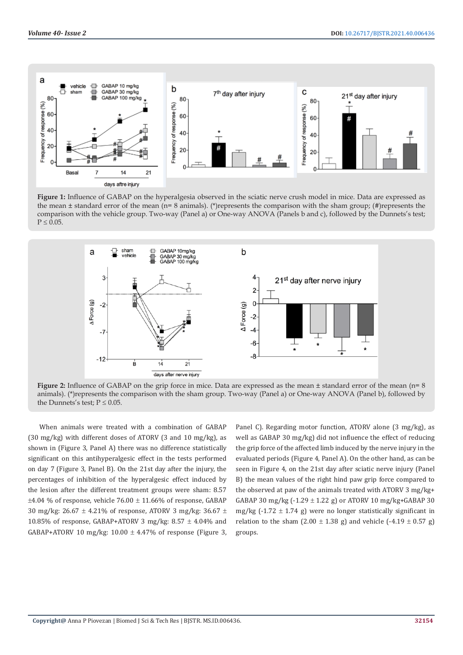

**Figure 1:** Influence of GABAP on the hyperalgesia observed in the sciatic nerve crush model in mice. Data are expressed as the mean  $\pm$  standard error of the mean (n= 8 animals). (\*)represents the comparison with the sham group; (#)represents the comparison with the vehicle group. Two-way (Panel a) or One-way ANOVA (Panels b and c), followed by the Dunnets's test;  $P \leq 0.05$ .



**Figure 2:** Influence of GABAP on the grip force in mice. Data are expressed as the mean ± standard error of the mean (n= 8 animals). (\*)represents the comparison with the sham group. Two-way (Panel a) or One-way ANOVA (Panel b), followed by the Dunnets's test;  $P \leq 0.05$ .

When animals were treated with a combination of GABAP (30 mg/kg) with different doses of ATORV (3 and 10 mg/kg), as shown in (Figure 3, Panel A) there was no difference statistically significant on this antihyperalgesic effect in the tests performed on day 7 (Figure 3, Panel B). On the 21st day after the injury, the percentages of inhibition of the hyperalgesic effect induced by the lesion after the different treatment groups were sham: 8.57  $\pm$ 4.04 % of response, vehicle 76.00  $\pm$  11.66% of response, GABAP 30 mg/kg: 26.67  $\pm$  4.21% of response, ATORV 3 mg/kg: 36.67  $\pm$ 10.85% of response, GABAP+ATORV 3 mg/kg:  $8.57 \pm 4.04$ % and GABAP+ATORV 10 mg/kg:  $10.00 \pm 4.47\%$  of response (Figure 3, Panel C). Regarding motor function, ATORV alone (3 mg/kg), as well as GABAP 30 mg/kg) did not influence the effect of reducing the grip force of the affected limb induced by the nerve injury in the evaluated periods (Figure 4, Panel A). On the other hand, as can be seen in Figure 4, on the 21st day after sciatic nerve injury (Panel B) the mean values of the right hind paw grip force compared to the observed at paw of the animals treated with ATORV 3 mg/kg+ GABAP 30 mg/kg  $(-1.29 \pm 1.22 \text{ g})$  or ATORV 10 mg/kg+GABAP 30 mg/kg  $(-1.72 \pm 1.74$  g) were no longer statistically significant in relation to the sham  $(2.00 \pm 1.38 \text{ g})$  and vehicle  $(-4.19 \pm 0.57 \text{ g})$ groups.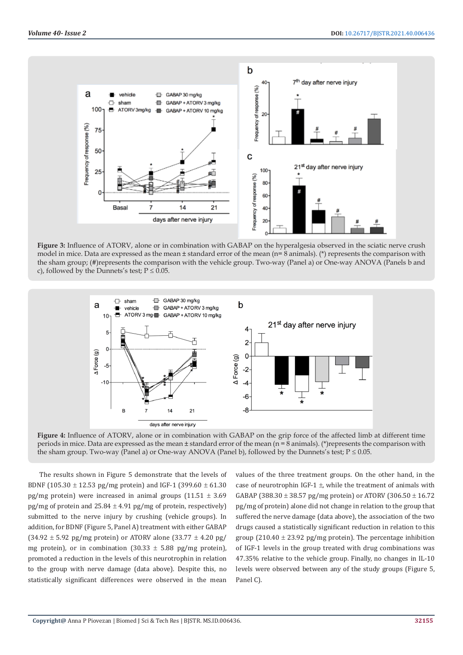

**Figure 3:** Influence of ATORV, alone or in combination with GABAP on the hyperalgesia observed in the sciatic nerve crush model in mice. Data are expressed as the mean  $\pm$  standard error of the mean (n= 8 animals). (\*) represents the comparison with the sham group; (#)represents the comparison with the vehicle group. Two-way (Panel a) or One-way ANOVA (Panels b and c), followed by the Dunnets's test;  $P \le 0.05$ .



**Figure 4:** Influence of ATORV, alone or in combination with GABAP on the grip force of the affected limb at different time periods in mice. Data are expressed as the mean  $\pm$  standard error of the mean (n = 8 animals). (\*) represents the comparison with the sham group. Two-way (Panel a) or One-way ANOVA (Panel b), followed by the Dunnets's test;  $P \le 0.05$ .

The results shown in Figure 5 demonstrate that the levels of BDNF (105.30  $\pm$  12.53 pg/mg protein) and IGF-1 (399.60  $\pm$  61.30 pg/mg protein) were increased in animal groups  $(11.51 \pm 3.69)$ pg/mg of protein and  $25.84 \pm 4.91$  pg/mg of protein, respectively) submitted to the nerve injury by crushing (vehicle groups). In addition, for BDNF (Figure 5, Panel A) treatment with either GABAP  $(34.92 \pm 5.92 \text{ pg/mg protein})$  or ATORV alone  $(33.77 \pm 4.20 \text{ pg/mg})$ mg protein), or in combination  $(30.33 \pm 5.88 \text{ pg/mg protein})$ , promoted a reduction in the levels of this neurotrophin in relation to the group with nerve damage (data above). Despite this, no statistically significant differences were observed in the mean

values of the three treatment groups. On the other hand, in the case of neurotrophin IGF-1  $\pm$ , while the treatment of animals with GABAP (388.30  $\pm$  38.57 pg/mg protein) or ATORV (306.50  $\pm$  16.72 pg/mg of protein) alone did not change in relation to the group that suffered the nerve damage (data above), the association of the two drugs caused a statistically significant reduction in relation to this group (210.40  $\pm$  23.92 pg/mg protein). The percentage inhibition of IGF-1 levels in the group treated with drug combinations was 47.35% relative to the vehicle group. Finally, no changes in IL-10 levels were observed between any of the study groups (Figure 5, Panel C).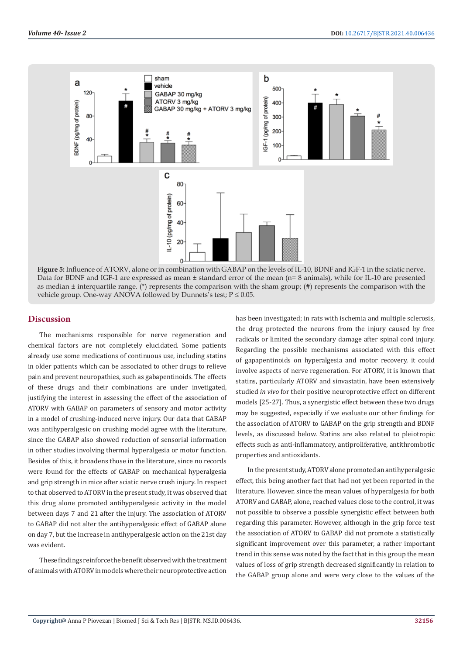

**Figure 5:** Influence of ATORV, alone or in combination with GABAP on the levels of IL-10, BDNF and IGF-1 in the sciatic nerve. Data for BDNF and IGF-1 are expressed as mean ± standard error of the mean (n= 8 animals), while for IL-10 are presented as median ± interquartile range. (\*) represents the comparison with the sham group; (#) represents the comparison with the vehicle group. One-way ANOVA followed by Dunnets's test;  $P \le 0.05$ .

# **Discussion**

The mechanisms responsible for nerve regeneration and chemical factors are not completely elucidated. Some patients already use some medications of continuous use, including statins in older patients which can be associated to other drugs to relieve pain and prevent neuropathies, such as gabapentinoids. The effects of these drugs and their combinations are under invetigated, justifying the interest in assessing the effect of the association of ATORV with GABAP on parameters of sensory and motor activity in a model of crushing-induced nerve injury. Our data that GABAP was antihyperalgesic on crushing model agree with the literature, since the GABAP also showed reduction of sensorial information in other studies involving thermal hyperalgesia or motor function. Besides of this, it broadens those in the literature, since no records were found for the effects of GABAP on mechanical hyperalgesia and grip strength in mice after sciatic nerve crush injury. In respect to that observed to ATORV in the present study, it was observed that this drug alone promoted antihyperalgesic activity in the model between days 7 and 21 after the injury. The association of ATORV to GABAP did not alter the antihyperalgesic effect of GABAP alone on day 7, but the increase in antihyperalgesic action on the 21st day was evident.

These findings reinforce the benefit observed with the treatment of animals with ATORV in models where their neuroprotective action

has been investigated; in rats with ischemia and multiple sclerosis, the drug protected the neurons from the injury caused by free radicals or limited the secondary damage after spinal cord injury. Regarding the possible mechanisms associated with this effect of gapapentinoids on hyperalgesia and motor recovery, it could involve aspects of nerve regeneration. For ATORV, it is known that statins, particularly ATORV and sinvastatin, have been extensively studied *in vivo* for their positive neuroprotective effect on different models [25-27]. Thus, a synergistic effect between these two drugs may be suggested, especially if we evaluate our other findings for the association of ATORV to GABAP on the grip strength and BDNF levels, as discussed below. Statins are also related to pleiotropic effects such as anti-inflammatory, antiproliferative, antithrombotic properties and antioxidants.

In the present study, ATORV alone promoted an antihyperalgesic effect, this being another fact that had not yet been reported in the literature. However, since the mean values of hyperalgesia for both ATORV and GABAP, alone, reached values close to the control, it was not possible to observe a possible synergistic effect between both regarding this parameter. However, although in the grip force test the association of ATORV to GABAP did not promote a statistically significant improvement over this parameter, a rather important trend in this sense was noted by the fact that in this group the mean values of loss of grip strength decreased significantly in relation to the GABAP group alone and were very close to the values of the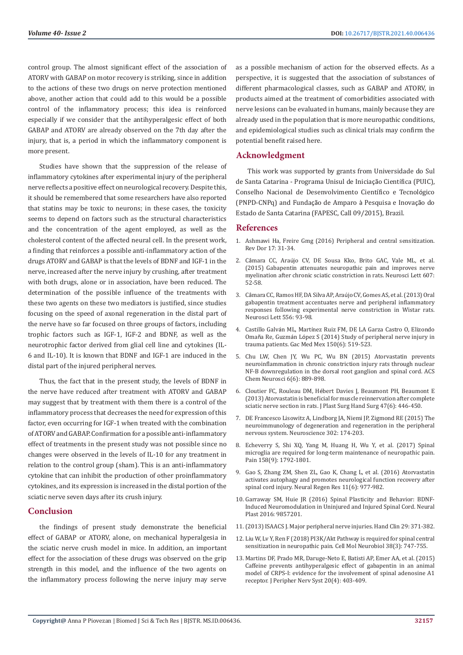control group. The almost significant effect of the association of ATORV with GABAP on motor recovery is striking, since in addition to the actions of these two drugs on nerve protection mentioned above, another action that could add to this would be a possible control of the inflammatory process; this idea is reinforced especially if we consider that the antihyperalgesic effect of both GABAP and ATORV are already observed on the 7th day after the injury, that is, a period in which the inflammatory component is more present.

Studies have shown that the suppression of the release of inflammatory cytokines after experimental injury of the peripheral nerve reflects a positive effect on neurological recovery. Despite this, it should be remembered that some researchers have also reported that statins may be toxic to neurons; in these cases, the toxicity seems to depend on factors such as the structural characteristics and the concentration of the agent employed, as well as the cholesterol content of the affected neural cell. In the present work, a finding that reinforces a possible anti-inflammatory action of the drugs ATORV and GABAP is that the levels of BDNF and IGF-1 in the nerve, increased after the nerve injury by crushing, after treatment with both drugs, alone or in association, have been reduced. The determination of the possible influence of the treatments with these two agents on these two mediators is justified, since studies focusing on the speed of axonal regeneration in the distal part of the nerve have so far focused on three groups of factors, including trophic factors such as IGF-1, IGF-2 and BDNF, as well as the neurotrophic factor derived from glial cell line and cytokines (IL-6 and IL-10). It is known that BDNF and IGF-1 are induced in the distal part of the injured peripheral nerves.

Thus, the fact that in the present study, the levels of BDNF in the nerve have reduced after treatment with ATORV and GABAP may suggest that by treatment with them there is a control of the inflammatory process that decreases the need for expression of this factor, even occurring for IGF-1 when treated with the combination of ATORV and GABAP. Confirmation for a possible anti-inflammatory effect of treatments in the present study was not possible since no changes were observed in the levels of IL-10 for any treatment in relation to the control group (sham). This is an anti-inflammatory cytokine that can inhibit the production of other proinflammatory cytokines, and its expression is increased in the distal portion of the sciatic nerve seven days after its crush injury.

# **Conclusion**

the findings of present study demonstrate the beneficial effect of GABAP or ATORV, alone, on mechanical hyperalgesia in the sciatic nerve crush model in mice. In addition, an important effect for the association of these drugs was observed on the grip strength in this model, and the influence of the two agents on the inflammatory process following the nerve injury may serve

as a possible mechanism of action for the observed effects. As a perspective, it is suggested that the association of substances of different pharmacological classes, such as GABAP and ATORV, in products aimed at the treatment of comorbidities associated with nerve lesions can be evaluated in humans, mainly because they are already used in the population that is more neuropathic conditions, and epidemiological studies such as clinical trials may confirm the potential benefit raised here.

# **Acknowledgment**

This work was supported by grants from Universidade do Sul de Santa Catarina - Programa Unisul de Iniciação Científica (PUIC), Conselho Nacional de Desenvolvimento Científico e Tecnológico (PNPD-CNPq) and Fundação de Amparo à Pesquisa e Inovação do Estado de Santa Catarina (FAPESC, Call 09/2015), Brazil.

#### **References**

- 1. [Ashmawi Ha, Freire Gmg \(2016\) Peripheral and central sensitization.](https://www.physio-pedia.com/Peripheral_sensitization) [Rev Dor 17: 31-34.](https://www.physio-pedia.com/Peripheral_sensitization)
- 2. Câmara CC, Araú[jo CV, DE Sousa Kko, Brito GAC, Vale ML, et al.](https://pubmed.ncbi.nlm.nih.gov/26391746/) [\(2015\) Gabapentin attenuates neuropathic pain and improves nerve](https://pubmed.ncbi.nlm.nih.gov/26391746/) [myelination after chronic sciatic constriction in rats. Neurosci Lett 607:](https://pubmed.ncbi.nlm.nih.gov/26391746/) [52-58.](https://pubmed.ncbi.nlm.nih.gov/26391746/)
- 3. Câ[mara CC, Ramos HF, DA Silva AP, Ara](https://pubmed.ncbi.nlm.nih.gov/24140003/)újo CV, Gomes AS, et al. (2013) Oral [gabapentin treatment accentuates nerve and peripheral inflammatory](https://pubmed.ncbi.nlm.nih.gov/24140003/) [responses following experimental nerve constriction in Wistar rats.](https://pubmed.ncbi.nlm.nih.gov/24140003/) [Neurosci Lett 556: 93-98.](https://pubmed.ncbi.nlm.nih.gov/24140003/)
- 4. Castillo Galván ML, Martí[nez Ruiz FM, DE LA Garza Castro O, Elizondo](https://pubmed.ncbi.nlm.nih.gov/25375283/) Omaña Re, Guzmán Ló[pez S \(2014\) Study of peripheral nerve injury in](https://pubmed.ncbi.nlm.nih.gov/25375283/) [trauma patients. Gac Med Mex 150\(6\): 519-523.](https://pubmed.ncbi.nlm.nih.gov/25375283/)
- 5. [Chu LW, Chen JY, Wu PC, Wu BN \(2015\) Atorvastatin prevents](https://pubmed.ncbi.nlm.nih.gov/25874913/) [neuroinflammation in chronic constriction injury rats through nuclear](https://pubmed.ncbi.nlm.nih.gov/25874913/) [NF-B downregulation in the dorsal root ganglion and spinal cord. ACS](https://pubmed.ncbi.nlm.nih.gov/25874913/) [Chem Neurosci 6\(6\): 889-898.](https://pubmed.ncbi.nlm.nih.gov/25874913/)
- 6. Cloutier FC, Rouleau DM, Hé[bert Davies J, Beaumont PH, Beaumont E](https://pubmed.ncbi.nlm.nih.gov/23848426/) [\(2013\) Atorvastatin is beneficial for muscle reinnervation after complete](https://pubmed.ncbi.nlm.nih.gov/23848426/) [sciatic nerve section in rats. J Plast Surg Hand Surg 47\(6\): 446-450.](https://pubmed.ncbi.nlm.nih.gov/23848426/)
- 7. DE Francesco Lisowitz A, Lindborg JA, Niemi JP, Zigmond RE (2015) The neuroimmunology of degeneration and regeneration in the peripheral nervous system. Neuroscience 302: 174-203.
- 8. [Echeverry S, Shi XQ, Yang M, Huang H, Wu Y, et al. \(2017\) Spinal](https://pubmed.ncbi.nlm.nih.gov/28746078/) [microglia are required for long-term maintenance of neuropathic pain.](https://pubmed.ncbi.nlm.nih.gov/28746078/) [Pain 158\(9\): 1792-1801.](https://pubmed.ncbi.nlm.nih.gov/28746078/)
- 9. [Gao S, Zhang ZM, Shen ZL, Gao K, Chang L, et al. \(2016\) Atorvastatin](https://pubmed.ncbi.nlm.nih.gov/27482228/) [activates autophagy and promotes neurological function recovery after](https://pubmed.ncbi.nlm.nih.gov/27482228/) [spinal cord injury. Neural Regen Res 11\(6\): 977-982.](https://pubmed.ncbi.nlm.nih.gov/27482228/)
- 10. [Garraway SM, Huie JR \(2016\) Spinal Plasticity and Behavior: BDNF-](https://pubmed.ncbi.nlm.nih.gov/27721996/)[Induced Neuromodulation in Uninjured and Injured Spinal Cord. Neural](https://pubmed.ncbi.nlm.nih.gov/27721996/) [Plast 2016: 9857201.](https://pubmed.ncbi.nlm.nih.gov/27721996/)
- 11.(2013) ISAACS J. Major peripheral nerve injuries. Hand Clin 29: 371-382.
- 12. [Liu W, Lv Y, Ren F \(2018\) PI3K/Akt Pathway is required for spinal central](https://pubmed.ncbi.nlm.nih.gov/28849293/) [sensitization in neuropathic pain. Cell Mol Neurobiol 38\(3\): 747-755.](https://pubmed.ncbi.nlm.nih.gov/28849293/)
- 13. [Martins DF, Prado MR, Daruge-Neto E, Batisti AP, Emer AA, et al. \(2015\)](https://pubmed.ncbi.nlm.nih.gov/26456872/) [Caffeine prevents antihyperalgesic effect of gabapentin in an animal](https://pubmed.ncbi.nlm.nih.gov/26456872/) [model of CRPS-I: evidence for the involvement of spinal adenosine A1](https://pubmed.ncbi.nlm.nih.gov/26456872/) [receptor. J Peripher Nerv Syst 20\(4\): 403-409.](https://pubmed.ncbi.nlm.nih.gov/26456872/)